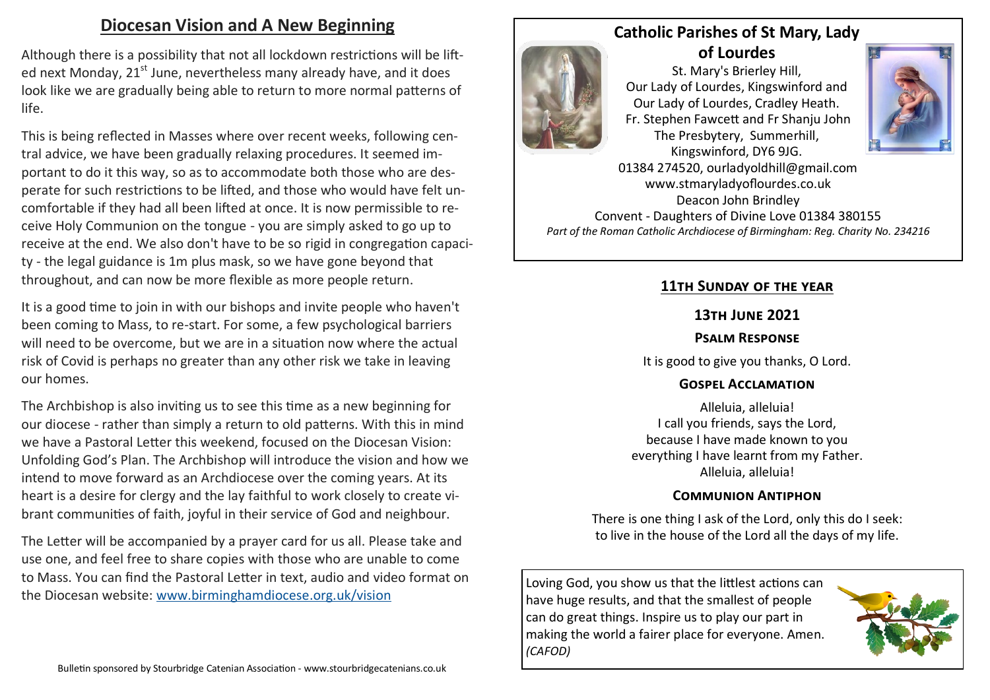# **Diocesan Vision and A New Beginning**

Although there is a possibility that not all lockdown restrictions will be lifted next Monday, 21<sup>st</sup> June, nevertheless many already have, and it does look like we are gradually being able to return to more normal patterns of life.

This is being reflected in Masses where over recent weeks, following central advice, we have been gradually relaxing procedures. It seemed important to do it this way, so as to accommodate both those who are desperate for such restrictions to be lifted, and those who would have felt uncomfortable if they had all been lifted at once. It is now permissible to receive Holy Communion on the tongue - you are simply asked to go up to receive at the end. We also don't have to be so rigid in congregation capacity - the legal guidance is 1m plus mask, so we have gone beyond that throughout, and can now be more flexible as more people return.

It is a good time to join in with our bishops and invite people who haven't been coming to Mass, to re-start. For some, a few psychological barriers will need to be overcome, but we are in a situation now where the actual risk of Covid is perhaps no greater than any other risk we take in leaving our homes.

The Archbishop is also inviting us to see this time as a new beginning for our diocese - rather than simply a return to old patterns. With this in mind we have a Pastoral Letter this weekend, focused on the Diocesan Vision: Unfolding God's Plan. The Archbishop will introduce the vision and how we intend to move forward as an Archdiocese over the coming years. At its heart is a desire for clergy and the lay faithful to work closely to create vibrant communities of faith, joyful in their service of God and neighbour.

The Letter will be accompanied by a prayer card for us all. Please take and use one, and feel free to share copies with those who are unable to come to Mass. You can find the Pastoral Letter in text, audio and video format on the Diocesan website: [www.birminghamdiocese.org.uk/vision](http://www.birminghamdiocese.org.uk/vision)



# **Catholic Parishes of St Mary, Lady of Lourdes**

St. Mary's Brierley Hill, Our Lady of Lourdes, Kingswinford and Our Lady of Lourdes, Cradley Heath. Fr. Stephen Fawcett and Fr Shanju John The Presbytery, Summerhill, Kingswinford, DY6 9JG.



01384 274520, ourladyoldhill@gmail.com www.stmaryladyoflourdes.co.uk Deacon John Brindley Convent - Daughters of Divine Love 01384 380155 *Part of the Roman Catholic Archdiocese of Birmingham: Reg. Charity No. 234216*

### **11th Sunday of the year**

#### **13th June 2021**

#### **Psalm Response**

It is good to give you thanks, O Lord.

#### **Gospel Acclamation**

Alleluia, alleluia! I call you friends, says the Lord, because I have made known to you everything I have learnt from my Father. Alleluia, alleluia!

#### **Communion Antiphon**

There is one thing I ask of the Lord, only this do I seek: to live in the house of the Lord all the days of my life.

Loving God, you show us that the littlest actions can have huge results, and that the smallest of people can do great things. Inspire us to play our part in making the world a fairer place for everyone. Amen. *(CAFOD)*